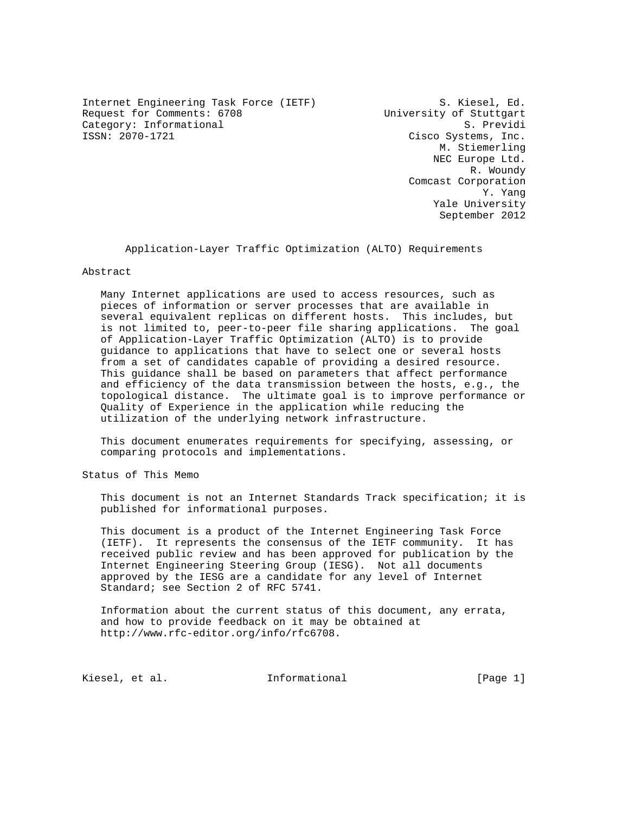Internet Engineering Task Force (IETF) S. Kiesel, Ed. Request for Comments: 6708 University of Stuttgart Category: Informational and S. Previding S. Previding S. Previding S. Previding S. Previding S. Previding S. Previding S. Previding S. Previding S. Previding S. Previding S. Previding S. Previding S. Previding S. Previding

Cisco Systems, Inc. M. Stiemerling NEC Europe Ltd. R. Woundy Comcast Corporation Y. Yang Yale University September 2012

Application-Layer Traffic Optimization (ALTO) Requirements

Abstract

 Many Internet applications are used to access resources, such as pieces of information or server processes that are available in several equivalent replicas on different hosts. This includes, but is not limited to, peer-to-peer file sharing applications. The goal of Application-Layer Traffic Optimization (ALTO) is to provide guidance to applications that have to select one or several hosts from a set of candidates capable of providing a desired resource. This guidance shall be based on parameters that affect performance and efficiency of the data transmission between the hosts, e.g., the topological distance. The ultimate goal is to improve performance or Quality of Experience in the application while reducing the utilization of the underlying network infrastructure.

 This document enumerates requirements for specifying, assessing, or comparing protocols and implementations.

Status of This Memo

 This document is not an Internet Standards Track specification; it is published for informational purposes.

 This document is a product of the Internet Engineering Task Force (IETF). It represents the consensus of the IETF community. It has received public review and has been approved for publication by the Internet Engineering Steering Group (IESG). Not all documents approved by the IESG are a candidate for any level of Internet Standard; see Section 2 of RFC 5741.

 Information about the current status of this document, any errata, and how to provide feedback on it may be obtained at http://www.rfc-editor.org/info/rfc6708.

Kiesel, et al. 10 Informational [Page 1]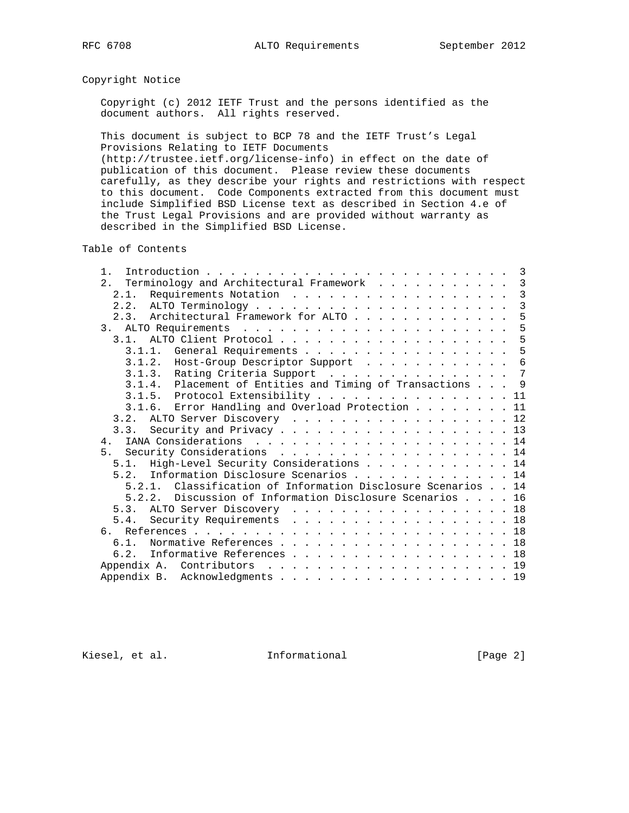# Copyright Notice

 Copyright (c) 2012 IETF Trust and the persons identified as the document authors. All rights reserved.

 This document is subject to BCP 78 and the IETF Trust's Legal Provisions Relating to IETF Documents

 (http://trustee.ietf.org/license-info) in effect on the date of publication of this document. Please review these documents carefully, as they describe your rights and restrictions with respect to this document. Code Components extracted from this document must include Simplified BSD License text as described in Section 4.e of the Trust Legal Provisions and are provided without warranty as described in the Simplified BSD License.

Table of Contents

| 1.                                                           |                |
|--------------------------------------------------------------|----------------|
| 2. Terminology and Architectural Framework                   | $\mathbf{3}$   |
| 2.1.                                                         | 3              |
|                                                              | $\overline{3}$ |
| 2.3. Architectural Framework for ALTO                        | 5              |
|                                                              | 5              |
| 3.1. ALTO Client Protocol 5                                  |                |
| 3.1.1. General Requirements                                  | 5              |
| 3.1.2. Host-Group Descriptor Support                         | 6              |
| 3.1.3. Rating Criteria Support 7                             |                |
| 3.1.4. Placement of Entities and Timing of Transactions 9    |                |
| 3.1.5. Protocol Extensibility 11                             |                |
| 3.1.6. Error Handling and Overload Protection 11             |                |
| 3.2. ALTO Server Discovery 12                                |                |
| Security and Privacy 13<br>3.3.                              |                |
|                                                              |                |
| 5. Security Considerations 14                                |                |
| 5.1. High-Level Security Considerations 14                   |                |
| 5.2. Information Disclosure Scenarios  14                    |                |
| 5.2.1. Classification of Information Disclosure Scenarios 14 |                |
| 5.2.2. Discussion of Information Disclosure Scenarios 16     |                |
| 5.3. ALTO Server Discovery 18                                |                |
| Security Requirements 18<br>5.4.                             |                |
|                                                              |                |
| Normative References 18<br>$6.1$ .                           |                |
| 6.2. Informative References 18                               |                |
|                                                              |                |
| Appendix B. Acknowledgments 19                               |                |

Kiesel, et al. 1nformational 1999 [Page 2]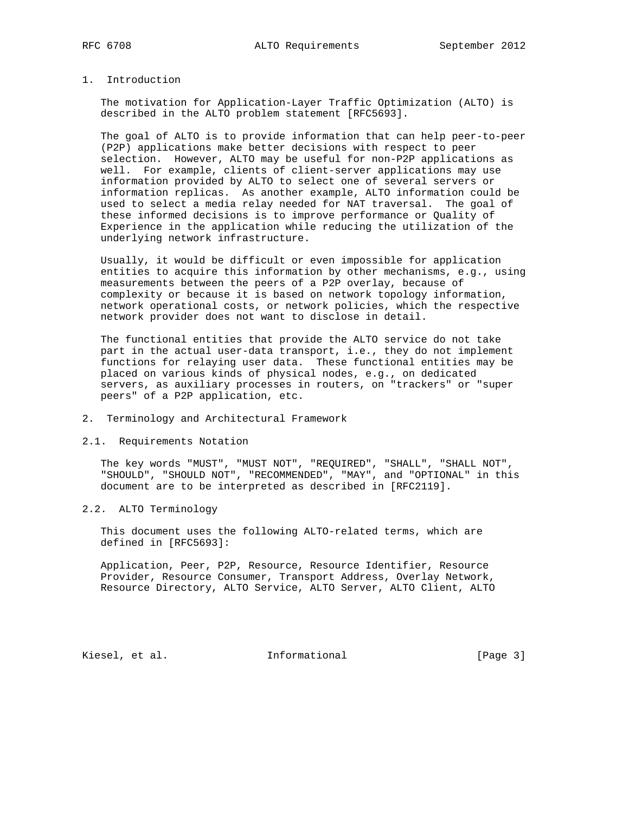# 1. Introduction

 The motivation for Application-Layer Traffic Optimization (ALTO) is described in the ALTO problem statement [RFC5693].

 The goal of ALTO is to provide information that can help peer-to-peer (P2P) applications make better decisions with respect to peer selection. However, ALTO may be useful for non-P2P applications as well. For example, clients of client-server applications may use information provided by ALTO to select one of several servers or information replicas. As another example, ALTO information could be used to select a media relay needed for NAT traversal. The goal of these informed decisions is to improve performance or Quality of Experience in the application while reducing the utilization of the underlying network infrastructure.

 Usually, it would be difficult or even impossible for application entities to acquire this information by other mechanisms, e.g., using measurements between the peers of a P2P overlay, because of complexity or because it is based on network topology information, network operational costs, or network policies, which the respective network provider does not want to disclose in detail.

 The functional entities that provide the ALTO service do not take part in the actual user-data transport, i.e., they do not implement functions for relaying user data. These functional entities may be placed on various kinds of physical nodes, e.g., on dedicated servers, as auxiliary processes in routers, on "trackers" or "super peers" of a P2P application, etc.

- 2. Terminology and Architectural Framework
- 2.1. Requirements Notation

 The key words "MUST", "MUST NOT", "REQUIRED", "SHALL", "SHALL NOT", "SHOULD", "SHOULD NOT", "RECOMMENDED", "MAY", and "OPTIONAL" in this document are to be interpreted as described in [RFC2119].

## 2.2. ALTO Terminology

 This document uses the following ALTO-related terms, which are defined in [RFC5693]:

 Application, Peer, P2P, Resource, Resource Identifier, Resource Provider, Resource Consumer, Transport Address, Overlay Network, Resource Directory, ALTO Service, ALTO Server, ALTO Client, ALTO

Kiesel, et al. 1nformational 1999 [Page 3]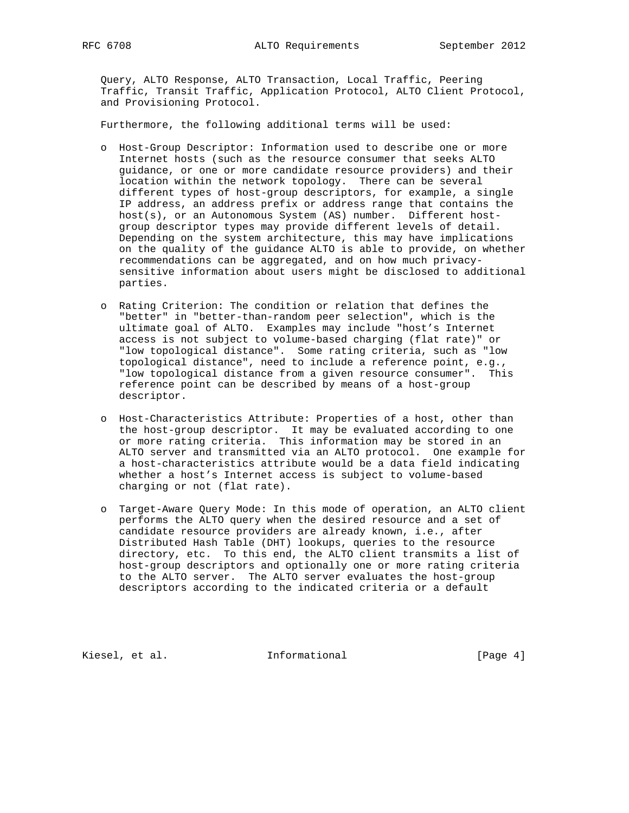Query, ALTO Response, ALTO Transaction, Local Traffic, Peering Traffic, Transit Traffic, Application Protocol, ALTO Client Protocol, and Provisioning Protocol.

Furthermore, the following additional terms will be used:

- o Host-Group Descriptor: Information used to describe one or more Internet hosts (such as the resource consumer that seeks ALTO guidance, or one or more candidate resource providers) and their location within the network topology. There can be several different types of host-group descriptors, for example, a single IP address, an address prefix or address range that contains the host(s), or an Autonomous System (AS) number. Different host group descriptor types may provide different levels of detail. Depending on the system architecture, this may have implications on the quality of the guidance ALTO is able to provide, on whether recommendations can be aggregated, and on how much privacy sensitive information about users might be disclosed to additional parties.
- o Rating Criterion: The condition or relation that defines the "better" in "better-than-random peer selection", which is the ultimate goal of ALTO. Examples may include "host's Internet access is not subject to volume-based charging (flat rate)" or "low topological distance". Some rating criteria, such as "low topological distance", need to include a reference point, e.g., "low topological distance from a given resource consumer". This reference point can be described by means of a host-group descriptor.
- o Host-Characteristics Attribute: Properties of a host, other than the host-group descriptor. It may be evaluated according to one or more rating criteria. This information may be stored in an ALTO server and transmitted via an ALTO protocol. One example for a host-characteristics attribute would be a data field indicating whether a host's Internet access is subject to volume-based charging or not (flat rate).
- o Target-Aware Query Mode: In this mode of operation, an ALTO client performs the ALTO query when the desired resource and a set of candidate resource providers are already known, i.e., after Distributed Hash Table (DHT) lookups, queries to the resource directory, etc. To this end, the ALTO client transmits a list of host-group descriptors and optionally one or more rating criteria to the ALTO server. The ALTO server evaluates the host-group descriptors according to the indicated criteria or a default

Kiesel, et al. 1nformational 1999 [Page 4]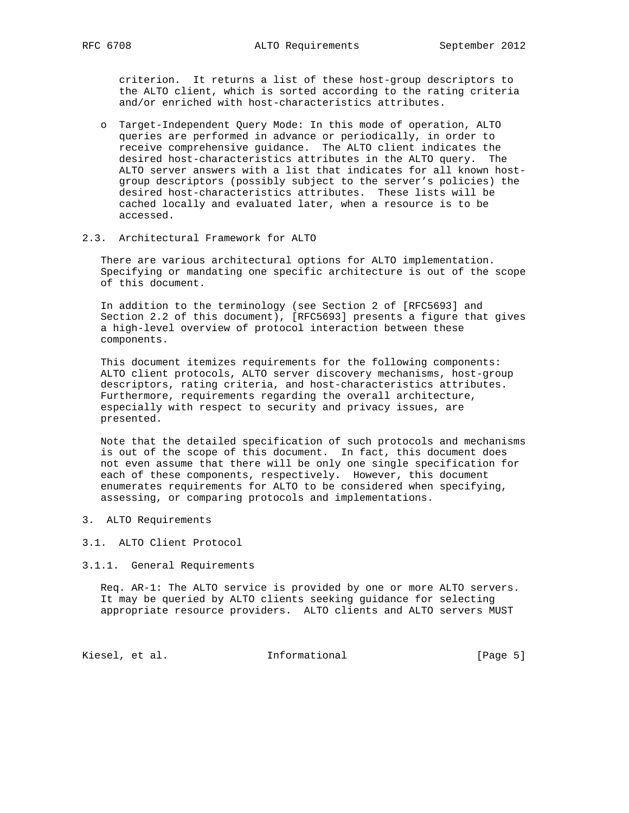criterion. It returns a list of these host-group descriptors to the ALTO client, which is sorted according to the rating criteria and/or enriched with host-characteristics attributes.

- o Target-Independent Query Mode: In this mode of operation, ALTO queries are performed in advance or periodically, in order to receive comprehensive guidance. The ALTO client indicates the desired host-characteristics attributes in the ALTO query. The ALTO server answers with a list that indicates for all known host group descriptors (possibly subject to the server's policies) the desired host-characteristics attributes. These lists will be cached locally and evaluated later, when a resource is to be accessed.
- 2.3. Architectural Framework for ALTO

 There are various architectural options for ALTO implementation. Specifying or mandating one specific architecture is out of the scope of this document.

 In addition to the terminology (see Section 2 of [RFC5693] and Section 2.2 of this document), [RFC5693] presents a figure that gives a high-level overview of protocol interaction between these components.

 This document itemizes requirements for the following components: ALTO client protocols, ALTO server discovery mechanisms, host-group descriptors, rating criteria, and host-characteristics attributes. Furthermore, requirements regarding the overall architecture, especially with respect to security and privacy issues, are presented.

 Note that the detailed specification of such protocols and mechanisms is out of the scope of this document. In fact, this document does not even assume that there will be only one single specification for each of these components, respectively. However, this document enumerates requirements for ALTO to be considered when specifying, assessing, or comparing protocols and implementations.

- 3. ALTO Requirements
- 3.1. ALTO Client Protocol
- 3.1.1. General Requirements

 Req. AR-1: The ALTO service is provided by one or more ALTO servers. It may be queried by ALTO clients seeking guidance for selecting appropriate resource providers. ALTO clients and ALTO servers MUST

Kiesel, et al. 1nformational 1999 [Page 5]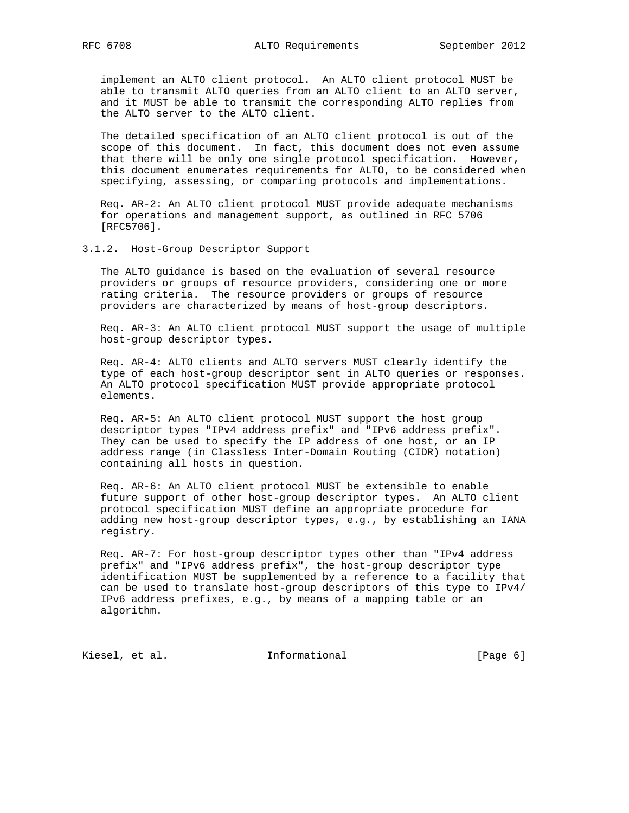implement an ALTO client protocol. An ALTO client protocol MUST be able to transmit ALTO queries from an ALTO client to an ALTO server, and it MUST be able to transmit the corresponding ALTO replies from the ALTO server to the ALTO client.

 The detailed specification of an ALTO client protocol is out of the scope of this document. In fact, this document does not even assume that there will be only one single protocol specification. However, this document enumerates requirements for ALTO, to be considered when specifying, assessing, or comparing protocols and implementations.

 Req. AR-2: An ALTO client protocol MUST provide adequate mechanisms for operations and management support, as outlined in RFC 5706 [RFC5706].

3.1.2. Host-Group Descriptor Support

 The ALTO guidance is based on the evaluation of several resource providers or groups of resource providers, considering one or more rating criteria. The resource providers or groups of resource providers are characterized by means of host-group descriptors.

 Req. AR-3: An ALTO client protocol MUST support the usage of multiple host-group descriptor types.

 Req. AR-4: ALTO clients and ALTO servers MUST clearly identify the type of each host-group descriptor sent in ALTO queries or responses. An ALTO protocol specification MUST provide appropriate protocol elements.

 Req. AR-5: An ALTO client protocol MUST support the host group descriptor types "IPv4 address prefix" and "IPv6 address prefix". They can be used to specify the IP address of one host, or an IP address range (in Classless Inter-Domain Routing (CIDR) notation) containing all hosts in question.

 Req. AR-6: An ALTO client protocol MUST be extensible to enable future support of other host-group descriptor types. An ALTO client protocol specification MUST define an appropriate procedure for adding new host-group descriptor types, e.g., by establishing an IANA registry.

 Req. AR-7: For host-group descriptor types other than "IPv4 address prefix" and "IPv6 address prefix", the host-group descriptor type identification MUST be supplemented by a reference to a facility that can be used to translate host-group descriptors of this type to IPv4/ IPv6 address prefixes, e.g., by means of a mapping table or an algorithm.

Kiesel, et al. 1nformational 1999 [Page 6]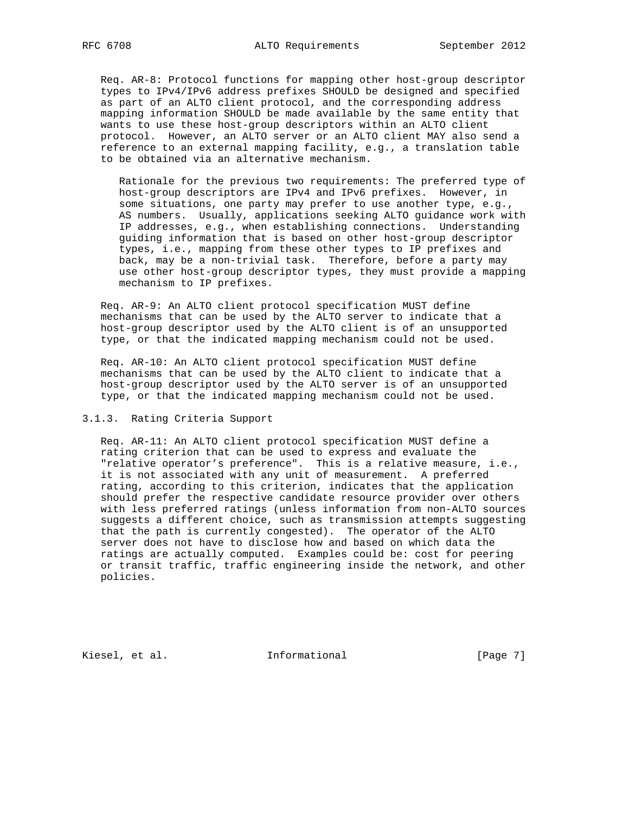Req. AR-8: Protocol functions for mapping other host-group descriptor types to IPv4/IPv6 address prefixes SHOULD be designed and specified as part of an ALTO client protocol, and the corresponding address mapping information SHOULD be made available by the same entity that wants to use these host-group descriptors within an ALTO client protocol. However, an ALTO server or an ALTO client MAY also send a reference to an external mapping facility, e.g., a translation table to be obtained via an alternative mechanism.

 Rationale for the previous two requirements: The preferred type of host-group descriptors are IPv4 and IPv6 prefixes. However, in some situations, one party may prefer to use another type, e.g., AS numbers. Usually, applications seeking ALTO guidance work with IP addresses, e.g., when establishing connections. Understanding guiding information that is based on other host-group descriptor types, i.e., mapping from these other types to IP prefixes and back, may be a non-trivial task. Therefore, before a party may use other host-group descriptor types, they must provide a mapping mechanism to IP prefixes.

 Req. AR-9: An ALTO client protocol specification MUST define mechanisms that can be used by the ALTO server to indicate that a host-group descriptor used by the ALTO client is of an unsupported type, or that the indicated mapping mechanism could not be used.

 Req. AR-10: An ALTO client protocol specification MUST define mechanisms that can be used by the ALTO client to indicate that a host-group descriptor used by the ALTO server is of an unsupported type, or that the indicated mapping mechanism could not be used.

### 3.1.3. Rating Criteria Support

 Req. AR-11: An ALTO client protocol specification MUST define a rating criterion that can be used to express and evaluate the "relative operator's preference". This is a relative measure, i.e., it is not associated with any unit of measurement. A preferred rating, according to this criterion, indicates that the application should prefer the respective candidate resource provider over others with less preferred ratings (unless information from non-ALTO sources suggests a different choice, such as transmission attempts suggesting that the path is currently congested). The operator of the ALTO server does not have to disclose how and based on which data the ratings are actually computed. Examples could be: cost for peering or transit traffic, traffic engineering inside the network, and other policies.

Kiesel, et al. 1nformational 1999 [Page 7]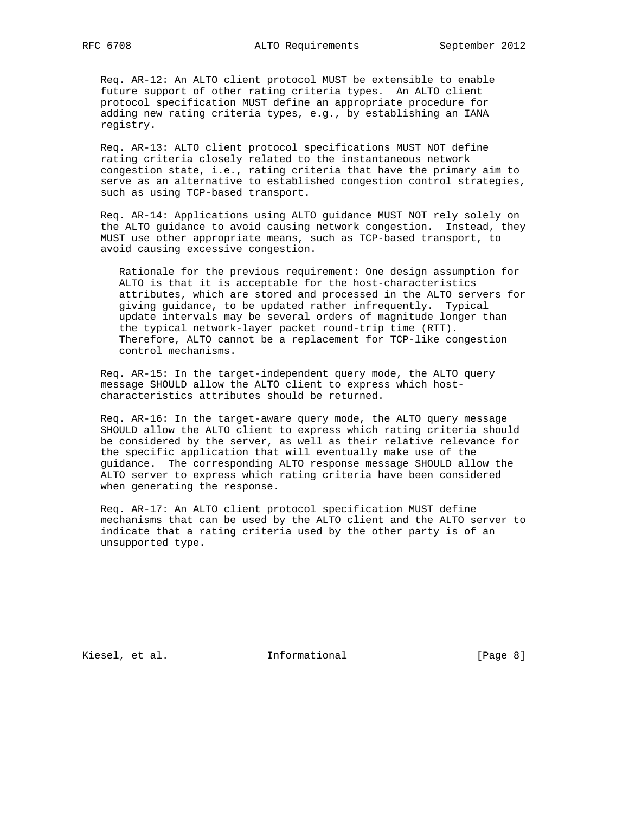Req. AR-12: An ALTO client protocol MUST be extensible to enable future support of other rating criteria types. An ALTO client protocol specification MUST define an appropriate procedure for adding new rating criteria types, e.g., by establishing an IANA registry.

 Req. AR-13: ALTO client protocol specifications MUST NOT define rating criteria closely related to the instantaneous network congestion state, i.e., rating criteria that have the primary aim to serve as an alternative to established congestion control strategies, such as using TCP-based transport.

 Req. AR-14: Applications using ALTO guidance MUST NOT rely solely on the ALTO guidance to avoid causing network congestion. Instead, they MUST use other appropriate means, such as TCP-based transport, to avoid causing excessive congestion.

 Rationale for the previous requirement: One design assumption for ALTO is that it is acceptable for the host-characteristics attributes, which are stored and processed in the ALTO servers for giving guidance, to be updated rather infrequently. Typical update intervals may be several orders of magnitude longer than the typical network-layer packet round-trip time (RTT). Therefore, ALTO cannot be a replacement for TCP-like congestion control mechanisms.

 Req. AR-15: In the target-independent query mode, the ALTO query message SHOULD allow the ALTO client to express which host characteristics attributes should be returned.

 Req. AR-16: In the target-aware query mode, the ALTO query message SHOULD allow the ALTO client to express which rating criteria should be considered by the server, as well as their relative relevance for the specific application that will eventually make use of the guidance. The corresponding ALTO response message SHOULD allow the ALTO server to express which rating criteria have been considered when generating the response.

 Req. AR-17: An ALTO client protocol specification MUST define mechanisms that can be used by the ALTO client and the ALTO server to indicate that a rating criteria used by the other party is of an unsupported type.

Kiesel, et al. 1nformational 1999 [Page 8]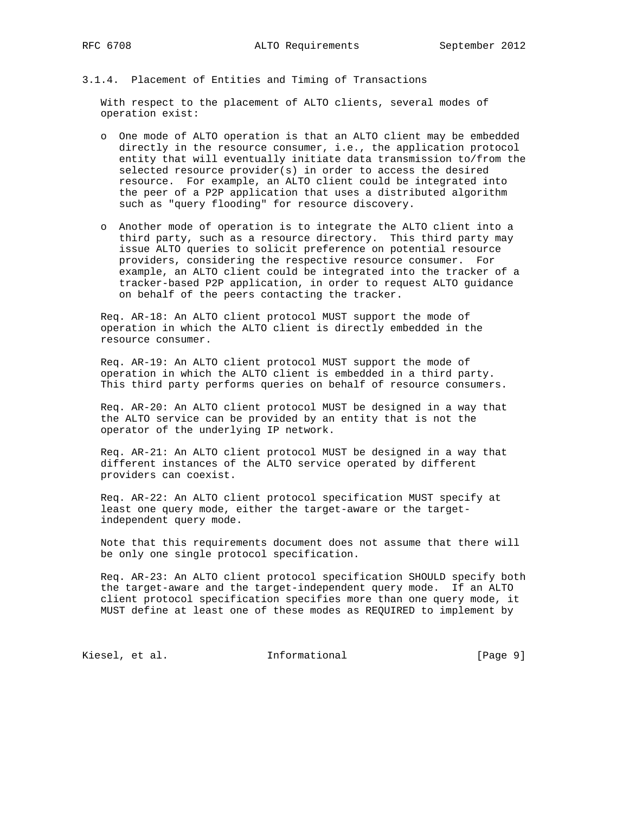3.1.4. Placement of Entities and Timing of Transactions

 With respect to the placement of ALTO clients, several modes of operation exist:

- o One mode of ALTO operation is that an ALTO client may be embedded directly in the resource consumer, i.e., the application protocol entity that will eventually initiate data transmission to/from the selected resource provider(s) in order to access the desired resource. For example, an ALTO client could be integrated into the peer of a P2P application that uses a distributed algorithm such as "query flooding" for resource discovery.
- o Another mode of operation is to integrate the ALTO client into a third party, such as a resource directory. This third party may issue ALTO queries to solicit preference on potential resource providers, considering the respective resource consumer. For example, an ALTO client could be integrated into the tracker of a tracker-based P2P application, in order to request ALTO guidance on behalf of the peers contacting the tracker.

 Req. AR-18: An ALTO client protocol MUST support the mode of operation in which the ALTO client is directly embedded in the resource consumer.

 Req. AR-19: An ALTO client protocol MUST support the mode of operation in which the ALTO client is embedded in a third party. This third party performs queries on behalf of resource consumers.

 Req. AR-20: An ALTO client protocol MUST be designed in a way that the ALTO service can be provided by an entity that is not the operator of the underlying IP network.

 Req. AR-21: An ALTO client protocol MUST be designed in a way that different instances of the ALTO service operated by different providers can coexist.

 Req. AR-22: An ALTO client protocol specification MUST specify at least one query mode, either the target-aware or the target independent query mode.

 Note that this requirements document does not assume that there will be only one single protocol specification.

 Req. AR-23: An ALTO client protocol specification SHOULD specify both the target-aware and the target-independent query mode. If an ALTO client protocol specification specifies more than one query mode, it MUST define at least one of these modes as REQUIRED to implement by

Kiesel, et al. 1nformational 1999 [Page 9]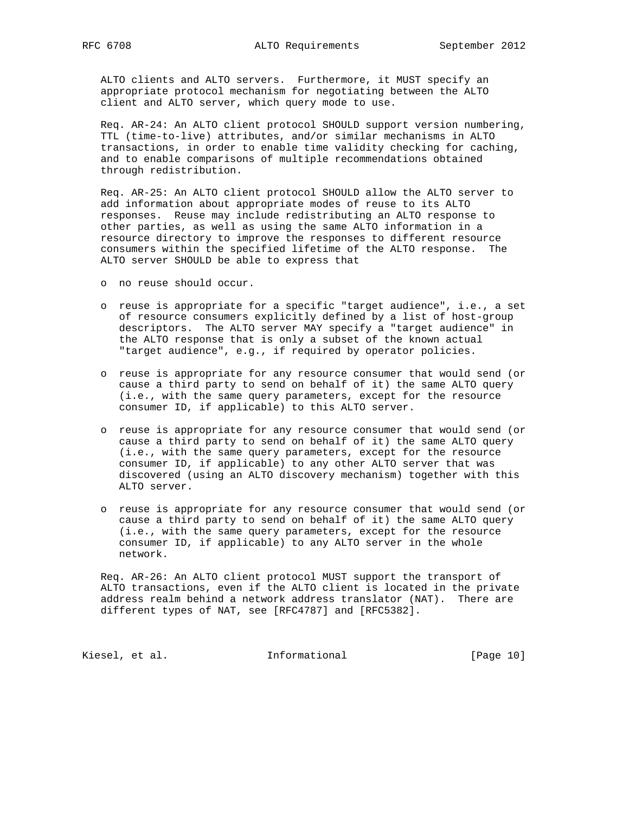ALTO clients and ALTO servers. Furthermore, it MUST specify an appropriate protocol mechanism for negotiating between the ALTO client and ALTO server, which query mode to use.

 Req. AR-24: An ALTO client protocol SHOULD support version numbering, TTL (time-to-live) attributes, and/or similar mechanisms in ALTO transactions, in order to enable time validity checking for caching, and to enable comparisons of multiple recommendations obtained through redistribution.

 Req. AR-25: An ALTO client protocol SHOULD allow the ALTO server to add information about appropriate modes of reuse to its ALTO responses. Reuse may include redistributing an ALTO response to other parties, as well as using the same ALTO information in a resource directory to improve the responses to different resource consumers within the specified lifetime of the ALTO response. The ALTO server SHOULD be able to express that

- o no reuse should occur.
- o reuse is appropriate for a specific "target audience", i.e., a set of resource consumers explicitly defined by a list of host-group descriptors. The ALTO server MAY specify a "target audience" in the ALTO response that is only a subset of the known actual "target audience", e.g., if required by operator policies.
- o reuse is appropriate for any resource consumer that would send (or cause a third party to send on behalf of it) the same ALTO query (i.e., with the same query parameters, except for the resource consumer ID, if applicable) to this ALTO server.
- o reuse is appropriate for any resource consumer that would send (or cause a third party to send on behalf of it) the same ALTO query (i.e., with the same query parameters, except for the resource consumer ID, if applicable) to any other ALTO server that was discovered (using an ALTO discovery mechanism) together with this ALTO server.
- o reuse is appropriate for any resource consumer that would send (or cause a third party to send on behalf of it) the same ALTO query (i.e., with the same query parameters, except for the resource consumer ID, if applicable) to any ALTO server in the whole network.

 Req. AR-26: An ALTO client protocol MUST support the transport of ALTO transactions, even if the ALTO client is located in the private address realm behind a network address translator (NAT). There are different types of NAT, see [RFC4787] and [RFC5382].

Kiesel, et al. 1nformational [Page 10]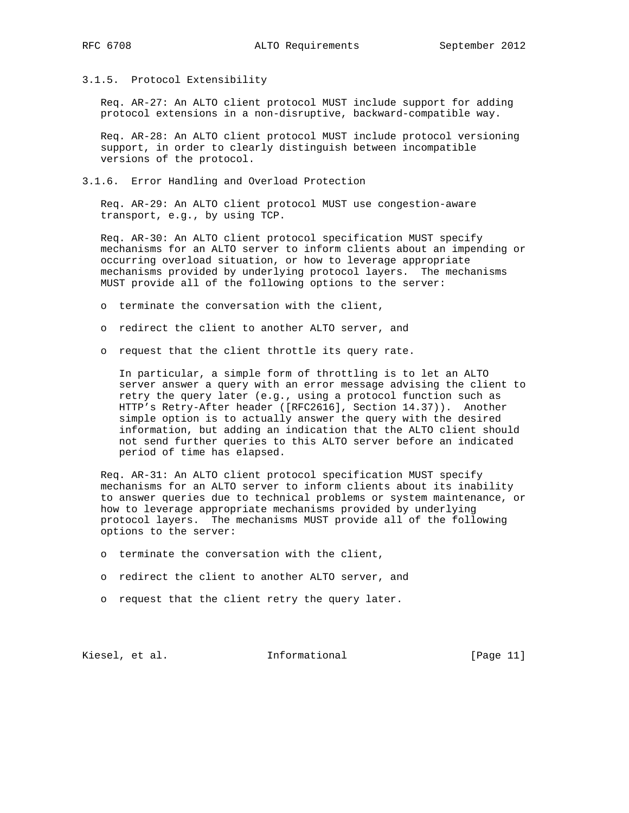3.1.5. Protocol Extensibility

 Req. AR-27: An ALTO client protocol MUST include support for adding protocol extensions in a non-disruptive, backward-compatible way.

 Req. AR-28: An ALTO client protocol MUST include protocol versioning support, in order to clearly distinguish between incompatible versions of the protocol.

3.1.6. Error Handling and Overload Protection

 Req. AR-29: An ALTO client protocol MUST use congestion-aware transport, e.g., by using TCP.

 Req. AR-30: An ALTO client protocol specification MUST specify mechanisms for an ALTO server to inform clients about an impending or occurring overload situation, or how to leverage appropriate mechanisms provided by underlying protocol layers. The mechanisms MUST provide all of the following options to the server:

- o terminate the conversation with the client,
- o redirect the client to another ALTO server, and
- o request that the client throttle its query rate.

 In particular, a simple form of throttling is to let an ALTO server answer a query with an error message advising the client to retry the query later (e.g., using a protocol function such as HTTP's Retry-After header ([RFC2616], Section 14.37)). Another simple option is to actually answer the query with the desired information, but adding an indication that the ALTO client should not send further queries to this ALTO server before an indicated period of time has elapsed.

 Req. AR-31: An ALTO client protocol specification MUST specify mechanisms for an ALTO server to inform clients about its inability to answer queries due to technical problems or system maintenance, or how to leverage appropriate mechanisms provided by underlying protocol layers. The mechanisms MUST provide all of the following options to the server:

- o terminate the conversation with the client,
- o redirect the client to another ALTO server, and
- o request that the client retry the query later.

Kiesel, et al. 1nformational [Page 11]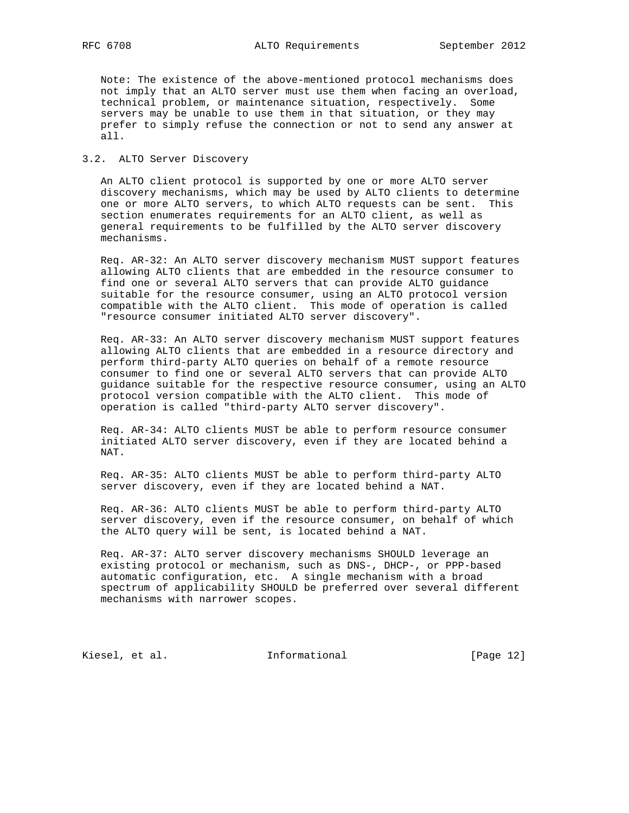Note: The existence of the above-mentioned protocol mechanisms does not imply that an ALTO server must use them when facing an overload, technical problem, or maintenance situation, respectively. Some servers may be unable to use them in that situation, or they may prefer to simply refuse the connection or not to send any answer at all.

### 3.2. ALTO Server Discovery

 An ALTO client protocol is supported by one or more ALTO server discovery mechanisms, which may be used by ALTO clients to determine one or more ALTO servers, to which ALTO requests can be sent. This section enumerates requirements for an ALTO client, as well as general requirements to be fulfilled by the ALTO server discovery mechanisms.

 Req. AR-32: An ALTO server discovery mechanism MUST support features allowing ALTO clients that are embedded in the resource consumer to find one or several ALTO servers that can provide ALTO guidance suitable for the resource consumer, using an ALTO protocol version compatible with the ALTO client. This mode of operation is called "resource consumer initiated ALTO server discovery".

 Req. AR-33: An ALTO server discovery mechanism MUST support features allowing ALTO clients that are embedded in a resource directory and perform third-party ALTO queries on behalf of a remote resource consumer to find one or several ALTO servers that can provide ALTO guidance suitable for the respective resource consumer, using an ALTO protocol version compatible with the ALTO client. This mode of operation is called "third-party ALTO server discovery".

 Req. AR-34: ALTO clients MUST be able to perform resource consumer initiated ALTO server discovery, even if they are located behind a NAT.

 Req. AR-35: ALTO clients MUST be able to perform third-party ALTO server discovery, even if they are located behind a NAT.

 Req. AR-36: ALTO clients MUST be able to perform third-party ALTO server discovery, even if the resource consumer, on behalf of which the ALTO query will be sent, is located behind a NAT.

 Req. AR-37: ALTO server discovery mechanisms SHOULD leverage an existing protocol or mechanism, such as DNS-, DHCP-, or PPP-based automatic configuration, etc. A single mechanism with a broad spectrum of applicability SHOULD be preferred over several different mechanisms with narrower scopes.

Kiesel, et al. 1nformational [Page 12]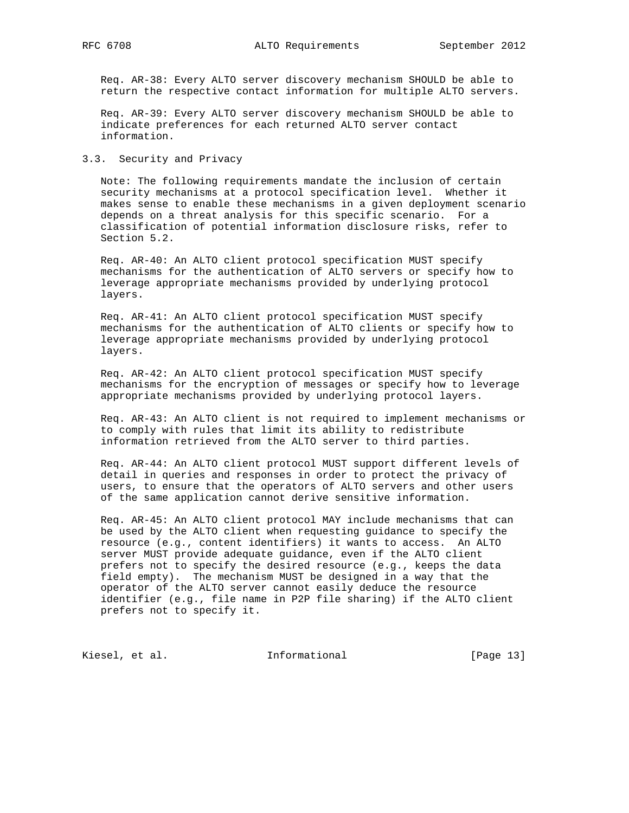Req. AR-38: Every ALTO server discovery mechanism SHOULD be able to return the respective contact information for multiple ALTO servers.

 Req. AR-39: Every ALTO server discovery mechanism SHOULD be able to indicate preferences for each returned ALTO server contact information.

3.3. Security and Privacy

 Note: The following requirements mandate the inclusion of certain security mechanisms at a protocol specification level. Whether it makes sense to enable these mechanisms in a given deployment scenario depends on a threat analysis for this specific scenario. For a classification of potential information disclosure risks, refer to Section 5.2.

 Req. AR-40: An ALTO client protocol specification MUST specify mechanisms for the authentication of ALTO servers or specify how to leverage appropriate mechanisms provided by underlying protocol layers.

 Req. AR-41: An ALTO client protocol specification MUST specify mechanisms for the authentication of ALTO clients or specify how to leverage appropriate mechanisms provided by underlying protocol layers.

 Req. AR-42: An ALTO client protocol specification MUST specify mechanisms for the encryption of messages or specify how to leverage appropriate mechanisms provided by underlying protocol layers.

 Req. AR-43: An ALTO client is not required to implement mechanisms or to comply with rules that limit its ability to redistribute information retrieved from the ALTO server to third parties.

 Req. AR-44: An ALTO client protocol MUST support different levels of detail in queries and responses in order to protect the privacy of users, to ensure that the operators of ALTO servers and other users of the same application cannot derive sensitive information.

 Req. AR-45: An ALTO client protocol MAY include mechanisms that can be used by the ALTO client when requesting guidance to specify the resource (e.g., content identifiers) it wants to access. An ALTO server MUST provide adequate guidance, even if the ALTO client prefers not to specify the desired resource (e.g., keeps the data field empty). The mechanism MUST be designed in a way that the operator of the ALTO server cannot easily deduce the resource identifier (e.g., file name in P2P file sharing) if the ALTO client prefers not to specify it.

Kiesel, et al. 1nformational [Page 13]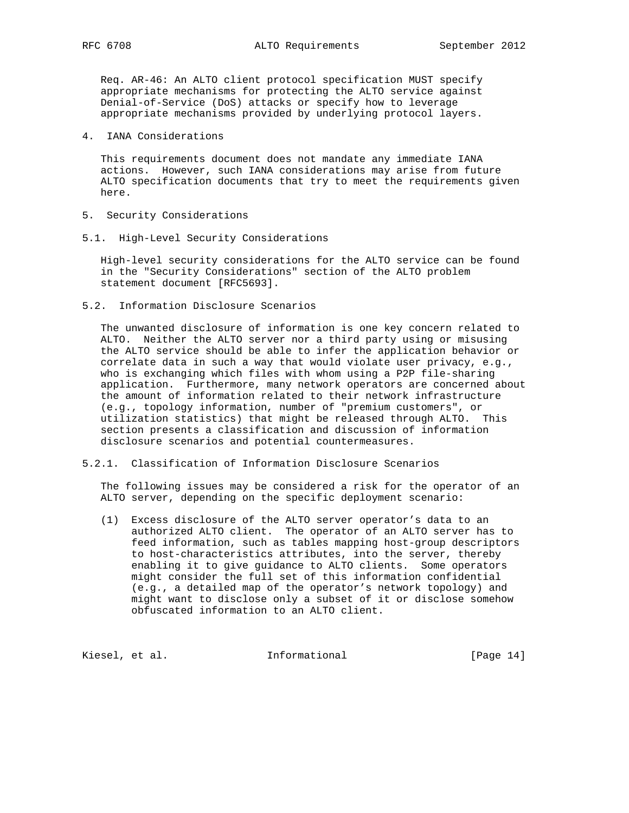Req. AR-46: An ALTO client protocol specification MUST specify appropriate mechanisms for protecting the ALTO service against Denial-of-Service (DoS) attacks or specify how to leverage appropriate mechanisms provided by underlying protocol layers.

4. IANA Considerations

 This requirements document does not mandate any immediate IANA actions. However, such IANA considerations may arise from future ALTO specification documents that try to meet the requirements given here.

- 5. Security Considerations
- 5.1. High-Level Security Considerations

 High-level security considerations for the ALTO service can be found in the "Security Considerations" section of the ALTO problem statement document [RFC5693].

5.2. Information Disclosure Scenarios

 The unwanted disclosure of information is one key concern related to ALTO. Neither the ALTO server nor a third party using or misusing the ALTO service should be able to infer the application behavior or correlate data in such a way that would violate user privacy, e.g., who is exchanging which files with whom using a P2P file-sharing application. Furthermore, many network operators are concerned about the amount of information related to their network infrastructure (e.g., topology information, number of "premium customers", or utilization statistics) that might be released through ALTO. This section presents a classification and discussion of information disclosure scenarios and potential countermeasures.

5.2.1. Classification of Information Disclosure Scenarios

 The following issues may be considered a risk for the operator of an ALTO server, depending on the specific deployment scenario:

 (1) Excess disclosure of the ALTO server operator's data to an authorized ALTO client. The operator of an ALTO server has to feed information, such as tables mapping host-group descriptors to host-characteristics attributes, into the server, thereby enabling it to give guidance to ALTO clients. Some operators might consider the full set of this information confidential (e.g., a detailed map of the operator's network topology) and might want to disclose only a subset of it or disclose somehow obfuscated information to an ALTO client.

Kiesel, et al. 1nformational [Page 14]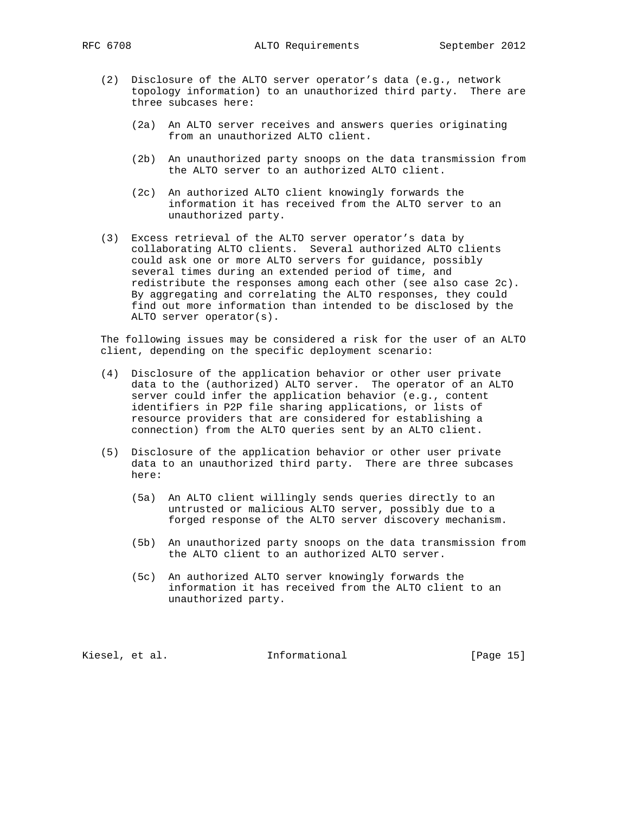RFC 6708 **ALTO Requirements** September 2012

- (2) Disclosure of the ALTO server operator's data (e.g., network topology information) to an unauthorized third party. There are three subcases here:
	- (2a) An ALTO server receives and answers queries originating from an unauthorized ALTO client.
	- (2b) An unauthorized party snoops on the data transmission from the ALTO server to an authorized ALTO client.
	- (2c) An authorized ALTO client knowingly forwards the information it has received from the ALTO server to an unauthorized party.
- (3) Excess retrieval of the ALTO server operator's data by collaborating ALTO clients. Several authorized ALTO clients could ask one or more ALTO servers for guidance, possibly several times during an extended period of time, and redistribute the responses among each other (see also case 2c). By aggregating and correlating the ALTO responses, they could find out more information than intended to be disclosed by the ALTO server operator(s).

 The following issues may be considered a risk for the user of an ALTO client, depending on the specific deployment scenario:

- (4) Disclosure of the application behavior or other user private data to the (authorized) ALTO server. The operator of an ALTO server could infer the application behavior (e.g., content identifiers in P2P file sharing applications, or lists of resource providers that are considered for establishing a connection) from the ALTO queries sent by an ALTO client.
- (5) Disclosure of the application behavior or other user private data to an unauthorized third party. There are three subcases here:
	- (5a) An ALTO client willingly sends queries directly to an untrusted or malicious ALTO server, possibly due to a forged response of the ALTO server discovery mechanism.
	- (5b) An unauthorized party snoops on the data transmission from the ALTO client to an authorized ALTO server.
	- (5c) An authorized ALTO server knowingly forwards the information it has received from the ALTO client to an unauthorized party.

Kiesel, et al. 10 mm = Informational [Page 15]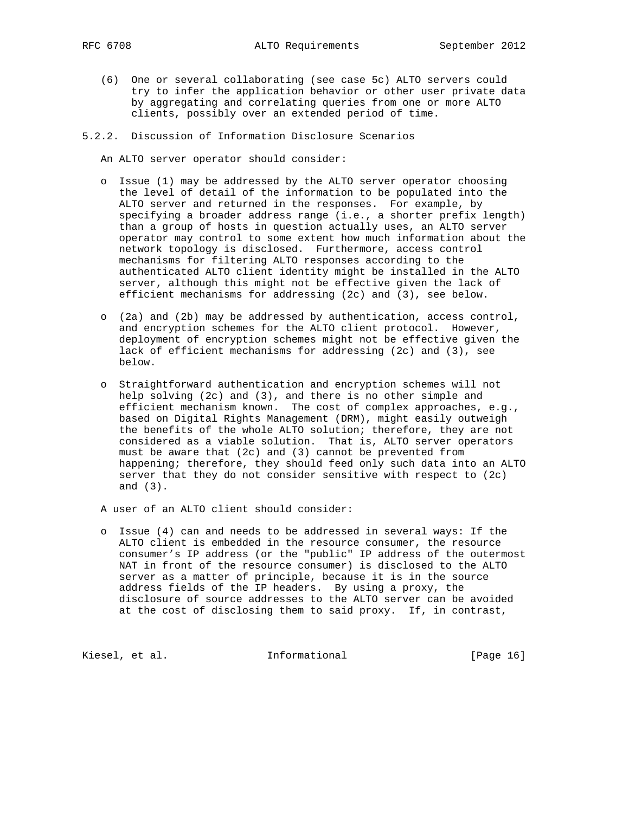- (6) One or several collaborating (see case 5c) ALTO servers could try to infer the application behavior or other user private data by aggregating and correlating queries from one or more ALTO clients, possibly over an extended period of time.
- 5.2.2. Discussion of Information Disclosure Scenarios

An ALTO server operator should consider:

- o Issue (1) may be addressed by the ALTO server operator choosing the level of detail of the information to be populated into the ALTO server and returned in the responses. For example, by specifying a broader address range (i.e., a shorter prefix length) than a group of hosts in question actually uses, an ALTO server operator may control to some extent how much information about the network topology is disclosed. Furthermore, access control mechanisms for filtering ALTO responses according to the authenticated ALTO client identity might be installed in the ALTO server, although this might not be effective given the lack of efficient mechanisms for addressing (2c) and (3), see below.
- o (2a) and (2b) may be addressed by authentication, access control, and encryption schemes for the ALTO client protocol. However, deployment of encryption schemes might not be effective given the lack of efficient mechanisms for addressing (2c) and (3), see below.
- o Straightforward authentication and encryption schemes will not help solving (2c) and (3), and there is no other simple and efficient mechanism known. The cost of complex approaches, e.g., based on Digital Rights Management (DRM), might easily outweigh the benefits of the whole ALTO solution; therefore, they are not considered as a viable solution. That is, ALTO server operators must be aware that (2c) and (3) cannot be prevented from happening; therefore, they should feed only such data into an ALTO server that they do not consider sensitive with respect to (2c) and (3).

A user of an ALTO client should consider:

 o Issue (4) can and needs to be addressed in several ways: If the ALTO client is embedded in the resource consumer, the resource consumer's IP address (or the "public" IP address of the outermost NAT in front of the resource consumer) is disclosed to the ALTO server as a matter of principle, because it is in the source address fields of the IP headers. By using a proxy, the disclosure of source addresses to the ALTO server can be avoided at the cost of disclosing them to said proxy. If, in contrast,

Kiesel, et al. 1nformational [Page 16]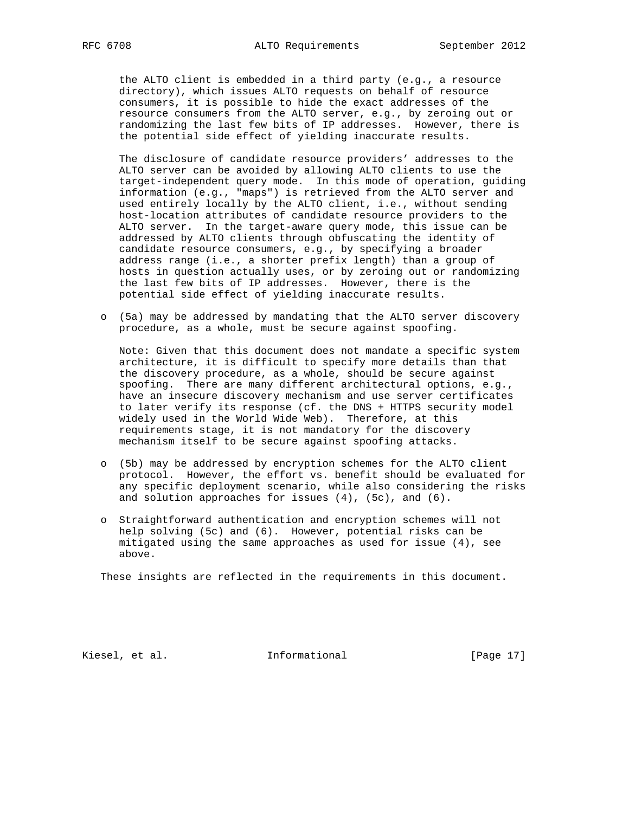the ALTO client is embedded in a third party (e.g., a resource directory), which issues ALTO requests on behalf of resource consumers, it is possible to hide the exact addresses of the resource consumers from the ALTO server, e.g., by zeroing out or randomizing the last few bits of IP addresses. However, there is the potential side effect of yielding inaccurate results.

 The disclosure of candidate resource providers' addresses to the ALTO server can be avoided by allowing ALTO clients to use the target-independent query mode. In this mode of operation, guiding information (e.g., "maps") is retrieved from the ALTO server and used entirely locally by the ALTO client, i.e., without sending host-location attributes of candidate resource providers to the ALTO server. In the target-aware query mode, this issue can be addressed by ALTO clients through obfuscating the identity of candidate resource consumers, e.g., by specifying a broader address range (i.e., a shorter prefix length) than a group of hosts in question actually uses, or by zeroing out or randomizing the last few bits of IP addresses. However, there is the potential side effect of yielding inaccurate results.

 o (5a) may be addressed by mandating that the ALTO server discovery procedure, as a whole, must be secure against spoofing.

 Note: Given that this document does not mandate a specific system architecture, it is difficult to specify more details than that the discovery procedure, as a whole, should be secure against spoofing. There are many different architectural options, e.g., have an insecure discovery mechanism and use server certificates to later verify its response (cf. the DNS + HTTPS security model widely used in the World Wide Web). Therefore, at this requirements stage, it is not mandatory for the discovery mechanism itself to be secure against spoofing attacks.

- o (5b) may be addressed by encryption schemes for the ALTO client protocol. However, the effort vs. benefit should be evaluated for any specific deployment scenario, while also considering the risks and solution approaches for issues (4), (5c), and (6).
- o Straightforward authentication and encryption schemes will not help solving (5c) and (6). However, potential risks can be mitigated using the same approaches as used for issue (4), see above.

These insights are reflected in the requirements in this document.

Kiesel, et al. 10 mm = Informational [Page 17]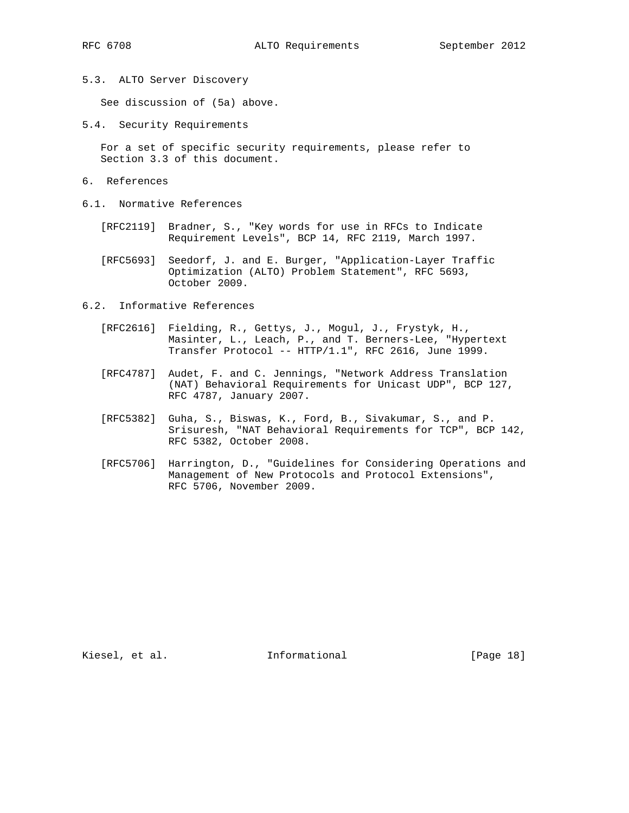5.3. ALTO Server Discovery

See discussion of (5a) above.

5.4. Security Requirements

 For a set of specific security requirements, please refer to Section 3.3 of this document.

- 6. References
- 6.1. Normative References
	- [RFC2119] Bradner, S., "Key words for use in RFCs to Indicate Requirement Levels", BCP 14, RFC 2119, March 1997.
	- [RFC5693] Seedorf, J. and E. Burger, "Application-Layer Traffic Optimization (ALTO) Problem Statement", RFC 5693, October 2009.
- 6.2. Informative References
	- [RFC2616] Fielding, R., Gettys, J., Mogul, J., Frystyk, H., Masinter, L., Leach, P., and T. Berners-Lee, "Hypertext Transfer Protocol -- HTTP/1.1", RFC 2616, June 1999.
	- [RFC4787] Audet, F. and C. Jennings, "Network Address Translation (NAT) Behavioral Requirements for Unicast UDP", BCP 127, RFC 4787, January 2007.
	- [RFC5382] Guha, S., Biswas, K., Ford, B., Sivakumar, S., and P. Srisuresh, "NAT Behavioral Requirements for TCP", BCP 142, RFC 5382, October 2008.
	- [RFC5706] Harrington, D., "Guidelines for Considering Operations and Management of New Protocols and Protocol Extensions", RFC 5706, November 2009.

Kiesel, et al. 1nformational [Page 18]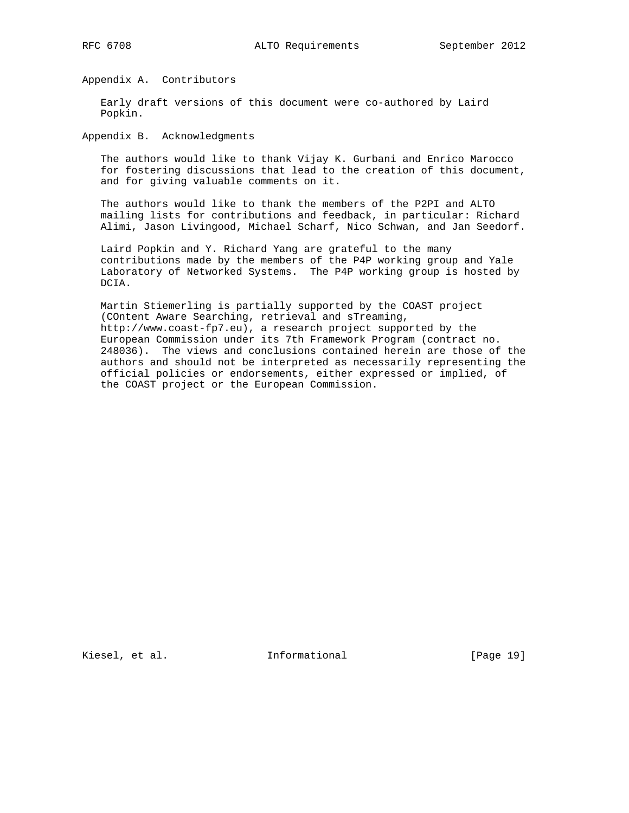Appendix A. Contributors

 Early draft versions of this document were co-authored by Laird Popkin.

Appendix B. Acknowledgments

 The authors would like to thank Vijay K. Gurbani and Enrico Marocco for fostering discussions that lead to the creation of this document, and for giving valuable comments on it.

 The authors would like to thank the members of the P2PI and ALTO mailing lists for contributions and feedback, in particular: Richard Alimi, Jason Livingood, Michael Scharf, Nico Schwan, and Jan Seedorf.

 Laird Popkin and Y. Richard Yang are grateful to the many contributions made by the members of the P4P working group and Yale Laboratory of Networked Systems. The P4P working group is hosted by DCIA.

 Martin Stiemerling is partially supported by the COAST project (COntent Aware Searching, retrieval and sTreaming, http://www.coast-fp7.eu), a research project supported by the European Commission under its 7th Framework Program (contract no. 248036). The views and conclusions contained herein are those of the authors and should not be interpreted as necessarily representing the official policies or endorsements, either expressed or implied, of the COAST project or the European Commission.

Kiesel, et al. 10 mm informational [Page 19]